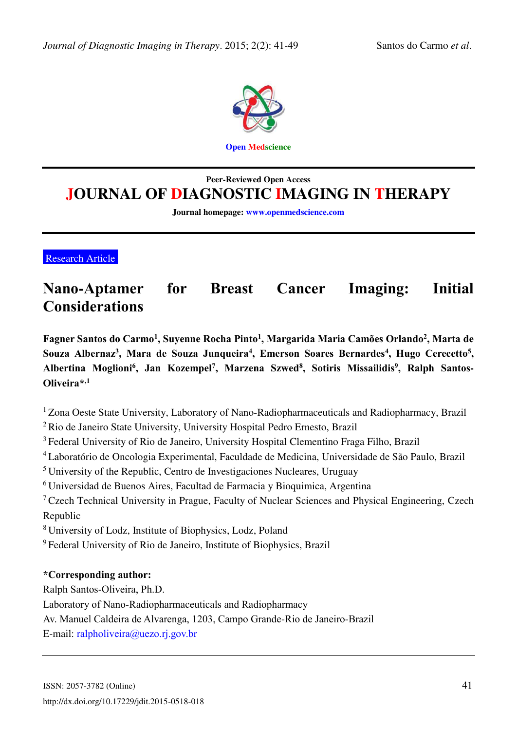

#### **Open Medscience**

# **Peer-Reviewed Open Access JOURNAL OF DIAGNOSTIC IMAGING IN THERAPY**

**Journal homepage: [www.openmedscience.com](file:///C:/Users/sean/Desktop/weibe%20paper/www.openmedscience.com)**

Research Article

# **Nano-[Aptamer for Breast Cancer Imaging: Initial](http://openmedscience.com/article/nano-aptamer-for-breast-cancer-imaging-initial-considerations/)  [Considerations](http://openmedscience.com/article/nano-aptamer-for-breast-cancer-imaging-initial-considerations/)**

**Fagner Santos do Carmo<sup>1</sup> , Suyenne Rocha Pinto<sup>1</sup> , Margarida Maria Camões Orlando<sup>2</sup> , Marta de Souza Albernaz<sup>3</sup> , Mara de Souza Junqueira<sup>4</sup> , Emerson Soares Bernardes<sup>4</sup> , Hugo Cerecetto<sup>5</sup> , Albertina Moglioni<sup>6</sup> , Jan Kozempel<sup>7</sup> , Marzena Szwed<sup>8</sup> , Sotiris Missailidis<sup>9</sup> , Ralph Santos-Oliveira\*,1**

<sup>1</sup> Zona Oeste State University, Laboratory of Nano-Radiopharmaceuticals and Radiopharmacy, Brazil

<sup>2</sup>Rio de Janeiro State University, University Hospital Pedro Ernesto, Brazil

<sup>3</sup>Federal University of Rio de Janeiro, University Hospital Clementino Fraga Filho, Brazil

<sup>4</sup>Laboratório de Oncologia Experimental, Faculdade de Medicina, Universidade de São Paulo, Brazil

<sup>5</sup> University of the Republic, Centro de Investigaciones Nucleares, Uruguay

<sup>6</sup>Universidad de Buenos Aires, Facultad de Farmacia y Bioquimica, Argentina

<sup>7</sup> Czech Technical University in Prague, Faculty of Nuclear Sciences and Physical Engineering, Czech Republic

<sup>8</sup>University of Lodz, Institute of Biophysics, Lodz, Poland

<sup>9</sup> Federal University of Rio de Janeiro, Institute of Biophysics, Brazil

#### **\*Corresponding author:**

Ralph Santos-Oliveira, Ph.D.

Laboratory of Nano-Radiopharmaceuticals and Radiopharmacy

Av. Manuel Caldeira de Alvarenga, 1203, Campo Grande-Rio de Janeiro-Brazil

E-mail: [ralpholiveira@uezo.rj.gov.br](mailto:ralpholiveira@uezo.rj.gov.br)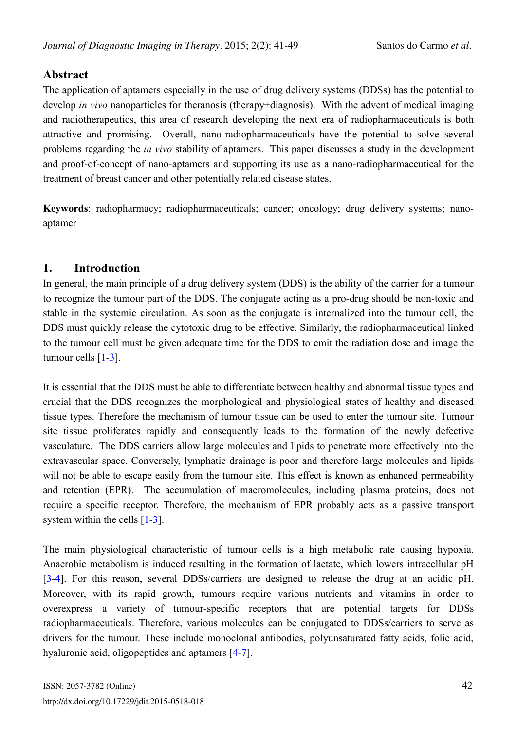### **Abstract**

The application of aptamers especially in the use of drug delivery systems (DDSs) has the potential to develop *in vivo* nanoparticles for theranosis (therapy+diagnosis). With the advent of medical imaging and radiotherapeutics, this area of research developing the next era of radiopharmaceuticals is both attractive and promising. Overall, nano-radiopharmaceuticals have the potential to solve several problems regarding the *in vivo* stability of aptamers. This paper discusses a study in the development and proof-of-concept of nano-aptamers and supporting its use as a nano-radiopharmaceutical for the treatment of breast cancer and other potentially related disease states.

**Keywords**: radiopharmacy; radiopharmaceuticals; cancer; oncology; drug delivery systems; nanoaptamer

### **1. Introduction**

In general, the main principle of a drug delivery system (DDS) is the ability of the carrier for a tumour to recognize the tumour part of the DDS. The conjugate acting as a pro-drug should be non-toxic and stable in the systemic circulation. As soon as the conjugate is internalized into the tumour cell, the DDS must quickly release the cytotoxic drug to be effective. Similarly, the radiopharmaceutical linked to the tumour cell must be given adequate time for the DDS to emit the radiation dose and image the tumour cells [\[1](#page-7-0)-[3\]](#page-7-1).

It is essential that the DDS must be able to differentiate between healthy and abnormal tissue types and crucial that the DDS recognizes the morphological and physiological states of healthy and diseased tissue types. Therefore the mechanism of tumour tissue can be used to enter the tumour site. Tumour site tissue proliferates rapidly and consequently leads to the formation of the newly defective vasculature. The DDS carriers allow large molecules and lipids to penetrate more effectively into the extravascular space. Conversely, lymphatic drainage is poor and therefore large molecules and lipids will not be able to escape easily from the tumour site. This effect is known as enhanced permeability and retention (EPR). The accumulation of macromolecules, including plasma proteins, does not require a specific receptor. Therefore, the mechanism of EPR probably acts as a passive transport system within the cells [\[1](#page-7-0)-[3\]](#page-7-1).

The main physiological characteristic of tumour cells is a high metabolic rate causing hypoxia. Anaerobic metabolism is induced resulting in the formation of lactate, which lowers intracellular pH [\[3](#page-7-1)-[4\]](#page-7-2). For this reason, several DDSs/carriers are designed to release the drug at an acidic pH. Moreover, with its rapid growth, tumours require various nutrients and vitamins in order to overexpress a variety of tumour-specific receptors that are potential targets for DDSs radiopharmaceuticals. Therefore, various molecules can be conjugated to DDSs/carriers to serve as drivers for the tumour. These include monoclonal antibodies, polyunsaturated fatty acids, folic acid, hyaluronic acid, oligopeptides and aptamers [\[4](#page-7-2)-[7\]](#page-7-3).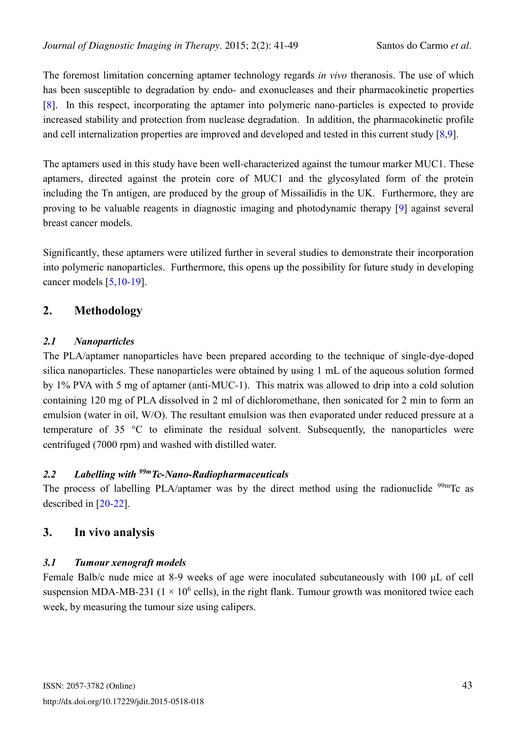The foremost limitation concerning aptamer technology regards *in vivo* theranosis. The use of which has been susceptible to degradation by endo- and exonucleases and their pharmacokinetic properties [\[8\]](#page-7-4). In this respect, incorporating the aptamer into polymeric nano-particles is expected to provide increased stability and protection from nuclease degradation. In addition, the pharmacokinetic profile and cell internalization properties are improved and developed and tested in this current study [\[8,](#page-7-4)[9\]](#page-7-5).

The aptamers used in this study have been well-characterized against the tumour marker MUC1. These aptamers, directed against the protein core of MUC1 and the glycosylated form of the protein including the Tn antigen, are produced by the group of Missailidis in the UK. Furthermore, they are proving to be valuable reagents in diagnostic imaging and photodynamic therapy [\[9\]](#page-7-5) against several breast cancer models.

Significantly, these aptamers were utilized further in several studies to demonstrate their incorporation into polymeric nanoparticles. Furthermore, this opens up the possibility for future study in developing cancer models [\[5](#page-7-6)[,10](#page-7-7)-[19\]](#page-8-0).

# **2. Methodology**

### *2.1 Nanoparticles*

The PLA/aptamer nanoparticles have been prepared according to the technique of single-dye-doped silica nanoparticles. These nanoparticles were obtained by using 1 mL of the aqueous solution formed by 1% PVA with 5 mg of aptamer (anti-MUC-1). This matrix was allowed to drip into a cold solution containing 120 mg of PLA dissolved in 2 ml of dichloromethane, then sonicated for 2 min to form an emulsion (water in oil, W/O). The resultant emulsion was then evaporated under reduced pressure at a temperature of 35 °C to eliminate the residual solvent. Subsequently, the nanoparticles were centrifuged (7000 rpm) and washed with distilled water.

### *2.2 Labelling with 99mTc-Nano-Radiopharmaceuticals*

The process of labelling PLA/aptamer was by the direct method using the radionuclide  $99m$ Tc as described in [\[20](#page-8-1)-[22\]](#page-8-2).

# **3. In vivo analysis**

### *3.1 Tumour xenograft models*

Female Balb/c nude mice at 8-9 weeks of age were inoculated subcutaneously with 100 μL of cell suspension MDA-MB-231 ( $1 \times 10^6$  cells), in the right flank. Tumour growth was monitored twice each week, by measuring the tumour size using calipers.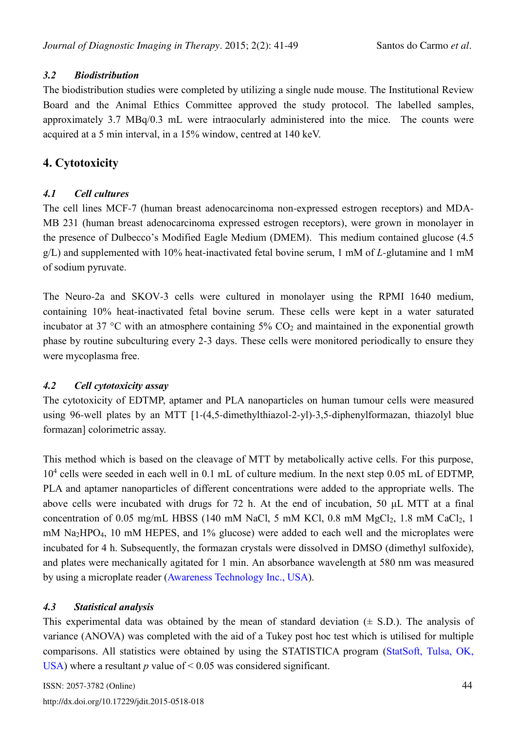### *3.2 Biodistribution*

The biodistribution studies were completed by utilizing a single nude mouse. The Institutional Review Board and the Animal Ethics Committee approved the study protocol. The labelled samples, approximately 3.7 MBq/0.3 mL were intraocularly administered into the mice. The counts were acquired at a 5 min interval, in a 15% window, centred at 140 keV.

# **4. Cytotoxicity**

### *4.1 Cell cultures*

The cell lines MCF-7 (human breast adenocarcinoma non-expressed estrogen receptors) and MDA-MB 231 (human breast adenocarcinoma expressed estrogen receptors), were grown in monolayer in the presence of Dulbecco's Modified Eagle Medium (DMEM). This medium contained glucose (4.5 g/L) and supplemented with 10% heat-inactivated fetal bovine serum, 1 mM of *L*-glutamine and 1 mM of sodium pyruvate.

The Neuro-2a and SKOV-3 cells were cultured in monolayer using the RPMI 1640 medium, containing 10% heat-inactivated fetal bovine serum. These cells were kept in a water saturated incubator at 37  $\degree$ C with an atmosphere containing 5% CO<sub>2</sub> and maintained in the exponential growth phase by routine subculturing every 2-3 days. These cells were monitored periodically to ensure they were mycoplasma free.

#### *4.2 Cell cytotoxicity assay*

The cytotoxicity of EDTMP, aptamer and PLA nanoparticles on human tumour cells were measured using 96-well plates by an MTT [1-(4,5-dimethylthiazol-2-yl)-3,5-diphenylformazan, thiazolyl blue formazan] colorimetric assay.

This method which is based on the cleavage of MTT by metabolically active cells. For this purpose, 10<sup>4</sup> cells were seeded in each well in 0.1 mL of culture medium. In the next step 0.05 mL of EDTMP, PLA and aptamer nanoparticles of different concentrations were added to the appropriate wells. The above cells were incubated with drugs for 72 h. At the end of incubation, 50 μL MTT at a final concentration of 0.05 mg/mL HBSS (140 mM NaCl, 5 mM KCl, 0.8 mM  $MgCl_2$ , 1.8 mM CaCl<sub>2</sub>, 1 mM Na2HPO4, 10 mM HEPES, and 1% glucose) were added to each well and the microplates were incubated for 4 h. Subsequently, the formazan crystals were dissolved in DMSO (dimethyl sulfoxide), and plates were mechanically agitated for 1 min. An absorbance wavelength at 580 nm was measured by using a microplate reader [\(Awareness Technology Inc., USA\)](http://www.awaretech.com/).

### *4.3 Statistical analysis*

This experimental data was obtained by the mean of standard deviation  $(± S.D.)$ . The analysis of variance (ANOVA) was completed with the aid of a Tukey post hoc test which is utilised for multiple comparisons. All statistics were obtained by using the STATISTICA program [\(StatSoft, Tulsa, OK,](http://www.statsoft.com/)  [USA\)](http://www.statsoft.com/) where a resultant  $p$  value of  $\leq 0.05$  was considered significant.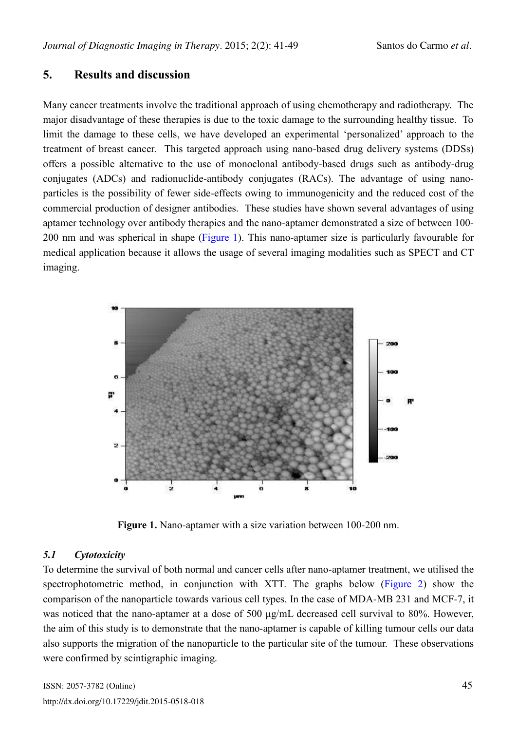### **5. Results and discussion**

Many cancer treatments involve the traditional approach of using chemotherapy and radiotherapy. The major disadvantage of these therapies is due to the toxic damage to the surrounding healthy tissue. To limit the damage to these cells, we have developed an experimental 'personalized' approach to the treatment of breast cancer. This targeted approach using nano-based drug delivery systems (DDSs) offers a possible alternative to the use of monoclonal antibody-based drugs such as antibody-drug conjugates (ADCs) and radionuclide-antibody conjugates (RACs). The advantage of using nanoparticles is the possibility of fewer side-effects owing to immunogenicity and the reduced cost of the commercial production of designer antibodies. These studies have shown several advantages of using aptamer technology over antibody therapies and the nano-aptamer demonstrated a size of between 100- 200 nm and was spherical in shape [\(Figure 1\)](#page-4-0). This nano-aptamer size is particularly favourable for medical application because it allows the usage of several imaging modalities such as SPECT and CT imaging.



**Figure 1.** Nano-aptamer with a size variation between 100-200 nm.

#### <span id="page-4-0"></span>*5.1 Cytotoxicity*

To determine the survival of both normal and cancer cells after nano-aptamer treatment, we utilised the spectrophotometric method, in conjunction with XTT. The graphs below [\(Figure 2\)](#page-5-0) show the comparison of the nanoparticle towards various cell types. In the case of MDA-MB 231 and MCF-7, it was noticed that the nano-aptamer at a dose of 500 μg/mL decreased cell survival to 80%. However, the aim of this study is to demonstrate that the nano-aptamer is capable of killing tumour cells our data also supports the migration of the nanoparticle to the particular site of the tumour. These observations were confirmed by scintigraphic imaging.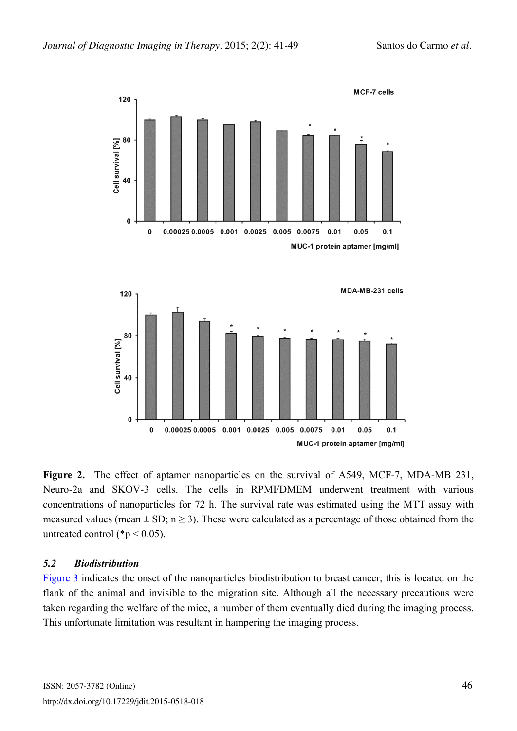



<span id="page-5-0"></span>**Figure 2.** The effect of aptamer nanoparticles on the survival of A549, MCF-7, MDA-MB 231, Neuro-2a and SKOV-3 cells. The cells in RPMI/DMEM underwent treatment with various concentrations of nanoparticles for 72 h. The survival rate was estimated using the MTT assay with measured values (mean  $\pm$  SD; n  $\geq$  3). These were calculated as a percentage of those obtained from the untreated control ( ${}^*p$  < 0.05).

#### *5.2 Biodistribution*

[Figure 3](#page-6-0) indicates the onset of the nanoparticles biodistribution to breast cancer; this is located on the flank of the animal and invisible to the migration site. Although all the necessary precautions were taken regarding the welfare of the mice, a number of them eventually died during the imaging process. This unfortunate limitation was resultant in hampering the imaging process.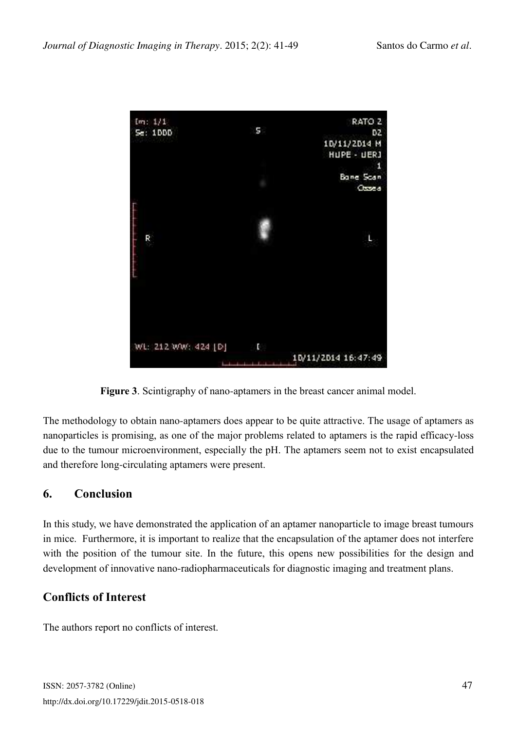

**Figure 3**. Scintigraphy of nano-aptamers in the breast cancer animal model.

<span id="page-6-0"></span>The methodology to obtain nano-aptamers does appear to be quite attractive. The usage of aptamers as nanoparticles is promising, as one of the major problems related to aptamers is the rapid efficacy-loss due to the tumour microenvironment, especially the pH. The aptamers seem not to exist encapsulated and therefore long-circulating aptamers were present.

# **6. Conclusion**

In this study, we have demonstrated the application of an aptamer nanoparticle to image breast tumours in mice. Furthermore, it is important to realize that the encapsulation of the aptamer does not interfere with the position of the tumour site. In the future, this opens new possibilities for the design and development of innovative nano-radiopharmaceuticals for diagnostic imaging and treatment plans.

# **Conflicts of Interest**

The authors report no conflicts of interest.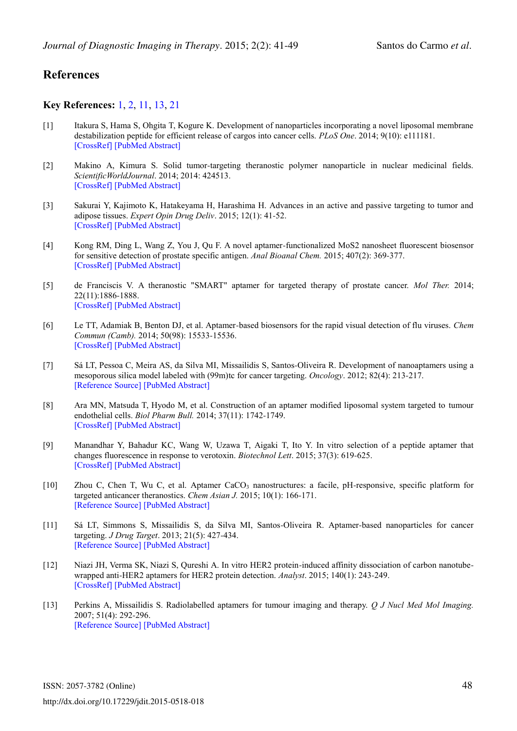#### **References**

#### **Key References:** [1,](#page-7-0) [2,](#page-7-8) [11,](#page-7-9) [13,](#page-7-10) [21](#page-8-3)

- <span id="page-7-0"></span>[1] Itakura S, Hama S, Ohgita T, Kogure K. Development of nanoparticles incorporating a novel liposomal membrane destabilization peptide for efficient release of cargos into cancer cells. *PLoS One*. 2014; 9(10): e111181. [\[CrossRef\]](http://dx.doi.org/10.1371/journal.pone.0111181) [\[PubMed Abstract\]](http://www.ncbi.nlm.nih.gov/pubmed/25343714)
- <span id="page-7-8"></span>[2] Makino A, Kimura S. Solid tumor-targeting theranostic polymer nanoparticle in nuclear medicinal fields. *ScientificWorldJournal*. 2014; 2014: 424513. [\[CrossRef\]](http://dx.doi.org/10.1155/2014/424513) [\[PubMed Abstract\]](http://www.ncbi.nlm.nih.gov/pubmed/25379530)
- <span id="page-7-1"></span>[3] Sakurai Y, Kajimoto K, Hatakeyama H, Harashima H. Advances in an active and passive targeting to tumor and adipose tissues. *Expert Opin Drug Deliv*. 2015; 12(1): 41-52. [\[CrossRef\]](http://dx.doi.org/10.1517/17425247.2015.955847) [\[PubMed Abstract\]](http://www.ncbi.nlm.nih.gov/pubmed/25376864)
- <span id="page-7-2"></span>[4] Kong RM, Ding L, Wang Z, You J, Qu F. A novel aptamer-functionalized MoS2 nanosheet fluorescent biosensor for sensitive detection of prostate specific antigen. *Anal Bioanal Chem.* 2015; 407(2): 369-377. [\[CrossRef\]](http://dx.doi.org/10.1007/s00216-014-8267-9) [\[PubMed Abstract\]](http://www.ncbi.nlm.nih.gov/pubmed/25366976)
- <span id="page-7-6"></span>[5] de Franciscis V. A theranostic "SMART" aptamer for targeted therapy of prostate cancer. *Mol Ther.* 2014; 22(11):1886-1888. [\[CrossRef\]](http://dx.doi.org/10.1038/mt.2014.190) [\[PubMed Abstract\]](http://www.ncbi.nlm.nih.gov/pubmed/?term=Mol+Ther.+2014%3B+22(11)%3A1886-1888.)
- [6] Le TT, Adamiak B, Benton DJ, et al. Aptamer-based biosensors for the rapid visual detection of flu viruses. *Chem Commun (Camb).* 2014; 50(98): 15533-15536. [\[CrossRef\]](http://dx.doi.org/10.1039/C4CC07888H) [\[PubMed Abstract\]](http://www.ncbi.nlm.nih.gov/pubmed/25354585)
- <span id="page-7-3"></span>[7] Sá LT, Pessoa C, Meira AS, da Silva MI, Missailidis S, Santos-Oliveira R. Development of nanoaptamers using a mesoporous silica model labeled with (99m)tc for cancer targeting. *Oncology*. 2012; 82(4): 213-217. [\[Reference Source\]](http://www.karger.com/Article/Abstract/337226) [\[PubMed Abstract\]](http://www.ncbi.nlm.nih.gov/pubmed/22508189)
- <span id="page-7-4"></span>[8] Ara MN, Matsuda T, Hyodo M, et al. Construction of an aptamer modified liposomal system targeted to tumour endothelial cells. *Biol Pharm Bull.* 2014; 37(11): 1742-1749. [\[CrossRef\]](http://dx.doi.org/10.1248/bpb.b14-00338) [\[PubMed Abstract\]](http://www.ncbi.nlm.nih.gov/pubmed/25366480)
- <span id="page-7-5"></span>[9] Manandhar Y, Bahadur KC, Wang W, Uzawa T, Aigaki T, Ito Y. In vitro selection of a peptide aptamer that changes fluorescence in response to verotoxin. *Biotechnol Lett*. 2015; 37(3): 619-625. [\[CrossRef\]](http://dx.doi.org/10.1007/s10529-014-1719-7) [\[PubMed Abstract\]](http://www.ncbi.nlm.nih.gov/pubmed/25374007)
- <span id="page-7-7"></span>[10] Zhou C, Chen T, Wu C, et al. Aptamer CaCO<sub>3</sub> nanostructures: a facile, pH-responsive, specific platform for targeted anticancer theranostics. *Chem Asian J.* 2015; 10(1): 166-171. [\[Reference Source\]](http://www.unboundmedicine.com/medline/journal/Chemistry,_an_Asian_journal?start=150&next=true) [\[PubMed Abstract\]](http://www.ncbi.nlm.nih.gov/pubmed/25377905)
- <span id="page-7-9"></span>[11] Sá LT, Simmons S, Missailidis S, da Silva MI, Santos-Oliveira R. Aptamer-based nanoparticles for cancer targeting. *J Drug Target*. 2013; 21(5): 427-434. [\[Reference Source\]](http://informahealthcare.com/doi/abs/10.3109/1061186X.2012.761222) [\[PubMed Abstract\]](http://www.ncbi.nlm.nih.gov/pubmed/23350808)
- [12] Niazi JH, Verma SK, Niazi S, Qureshi A. In vitro HER2 protein-induced affinity dissociation of carbon nanotubewrapped anti-HER2 aptamers for HER2 protein detection. *Analyst*. 2015; 140(1): 243-249. [\[CrossRef\]](http://dx.doi.org/10.1039/C4AN01665C) [\[PubMed Abstract\]](http://www.ncbi.nlm.nih.gov/pubmed/25365825)
- <span id="page-7-10"></span>[13] Perkins A, Missailidis S. Radiolabelled aptamers for tumour imaging and therapy. *Q J Nucl Med Mol Imaging.* 2007; 51(4): 292-296. [\[Reference Source\]](http://www.minervamedica.it/en/journals/nuclear-med-molecular-imaging/article.php?cod=R39Y2007N04A0292) [\[PubMed Abstract\]](http://www.ncbi.nlm.nih.gov/pubmed/?term=The+Quarterly+J+of+Nuclear+Med+%26+Mol+Imaging.+2007%3B+51(4)%3A+292-296.)